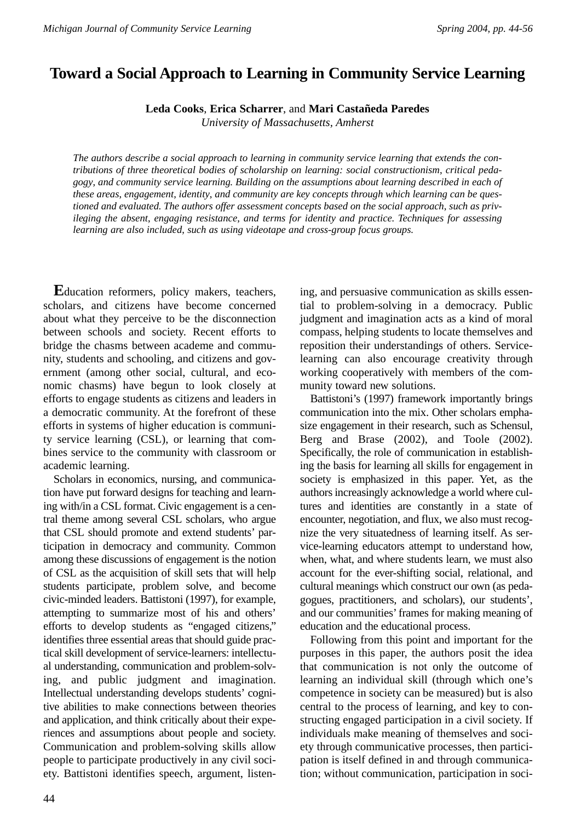# **Toward a Social Approach to Learning in Community Service Learning**

**Leda Cooks**, **Erica Scharrer**, and **Mari Castañeda Paredes**

*University of Massachusetts, Amherst*

*The authors describe a social approach to learning in community service learning that extends the contributions of three theoretical bodies of scholarship on learning: social constructionism*, *critical pedagogy*, *and community service learning. Building on the assumptions about learning described in each of these areas*, *engagement*, *identity*, *and community are key concepts through which learning can be questioned and evaluated. The authors offer assessment concepts based on the social approach*, *such as privileging the absent*, *engaging resistance*, *and terms for identity and practice. Techniques for assessing learning are also included*, *such as using videotape and cross-group focus groups.* 

**E**ducation reformers, policy makers, teachers, scholars, and citizens have become concerned about what they perceive to be the disconnection between schools and society. Recent efforts to bridge the chasms between academe and community, students and schooling, and citizens and government (among other social, cultural, and economic chasms) have begun to look closely at efforts to engage students as citizens and leaders in a democratic community. At the forefront of these efforts in systems of higher education is community service learning (CSL), or learning that combines service to the community with classroom or academic learning.

Scholars in economics, nursing, and communication have put forward designs for teaching and learning with/in a CSL format. Civic engagement is a central theme among several CSL scholars, who argue that CSL should promote and extend students' participation in democracy and community. Common among these discussions of engagement is the notion of CSL as the acquisition of skill sets that will help students participate, problem solve, and become civic-minded leaders. Battistoni (1997), for example, attempting to summarize most of his and others' efforts to develop students as "engaged citizens," identifies three essential areas that should guide practical skill development of service-learners: intellectual understanding, communication and problem-solving, and public judgment and imagination. Intellectual understanding develops students' cognitive abilities to make connections between theories and application, and think critically about their experiences and assumptions about people and society. Communication and problem-solving skills allow people to participate productively in any civil society. Battistoni identifies speech, argument, listening, and persuasive communication as skills essential to problem-solving in a democracy. Public judgment and imagination acts as a kind of moral compass, helping students to locate themselves and reposition their understandings of others. Servicelearning can also encourage creativity through working cooperatively with members of the community toward new solutions.

Battistoni's (1997) framework importantly brings communication into the mix. Other scholars emphasize engagement in their research, such as Schensul, Berg and Brase (2002), and Toole (2002). Specifically, the role of communication in establishing the basis for learning all skills for engagement in society is emphasized in this paper. Yet, as the authors increasingly acknowledge a world where cultures and identities are constantly in a state of encounter, negotiation, and flux, we also must recognize the very situatedness of learning itself. As service-learning educators attempt to understand how, when, what, and where students learn, we must also account for the ever-shifting social, relational, and cultural meanings which construct our own (as pedagogues, practitioners, and scholars), our students', and our communities' frames for making meaning of education and the educational process.

Following from this point and important for the purposes in this paper, the authors posit the idea that communication is not only the outcome of learning an individual skill (through which one's competence in society can be measured) but is also central to the process of learning, and key to constructing engaged participation in a civil society. If individuals make meaning of themselves and society through communicative processes, then participation is itself defined in and through communication; without communication, participation in soci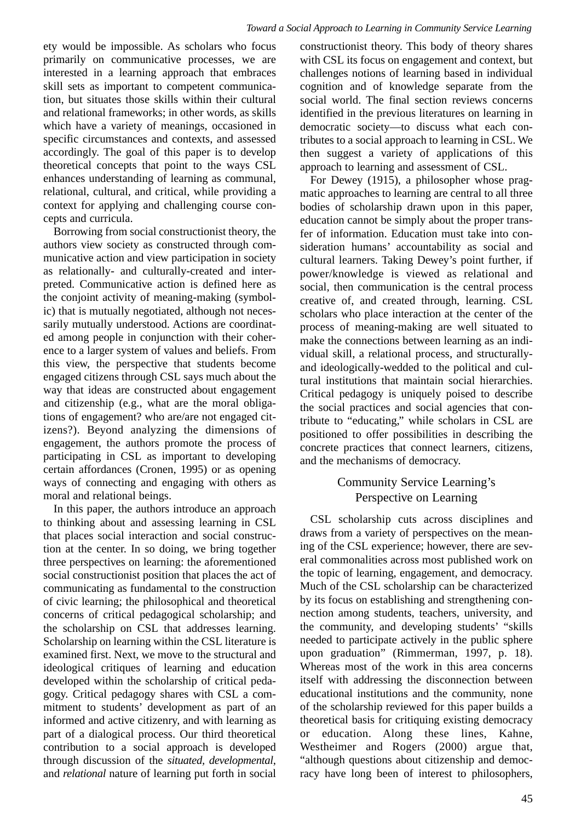ety would be impossible. As scholars who focus primarily on communicative processes, we are interested in a learning approach that embraces skill sets as important to competent communication, but situates those skills within their cultural and relational frameworks; in other words, as skills which have a variety of meanings, occasioned in specific circumstances and contexts, and assessed accordingly. The goal of this paper is to develop theoretical concepts that point to the ways CSL enhances understanding of learning as communal, relational, cultural, and critical, while providing a context for applying and challenging course concepts and curricula.

Borrowing from social constructionist theory, the authors view society as constructed through communicative action and view participation in society as relationally- and culturally-created and interpreted. Communicative action is defined here as the conjoint activity of meaning-making (symbolic) that is mutually negotiated, although not necessarily mutually understood. Actions are coordinated among people in conjunction with their coherence to a larger system of values and beliefs. From this view, the perspective that students become engaged citizens through CSL says much about the way that ideas are constructed about engagement and citizenship (e.g., what are the moral obligations of engagement? who are/are not engaged citizens?). Beyond analyzing the dimensions of engagement, the authors promote the process of participating in CSL as important to developing certain affordances (Cronen, 1995) or as opening ways of connecting and engaging with others as moral and relational beings.

In this paper, the authors introduce an approach to thinking about and assessing learning in CSL that places social interaction and social construction at the center. In so doing, we bring together three perspectives on learning: the aforementioned social constructionist position that places the act of communicating as fundamental to the construction of civic learning; the philosophical and theoretical concerns of critical pedagogical scholarship; and the scholarship on CSL that addresses learning. Scholarship on learning within the CSL literature is examined first. Next, we move to the structural and ideological critiques of learning and education developed within the scholarship of critical pedagogy. Critical pedagogy shares with CSL a commitment to students' development as part of an informed and active citizenry, and with learning as part of a dialogical process. Our third theoretical contribution to a social approach is developed through discussion of the *situated, developmental*, and *relational* nature of learning put forth in social

constructionist theory. This body of theory shares with CSL its focus on engagement and context, but challenges notions of learning based in individual cognition and of knowledge separate from the social world. The final section reviews concerns identified in the previous literatures on learning in democratic society—to discuss what each contributes to a social approach to learning in CSL. We then suggest a variety of applications of this approach to learning and assessment of CSL.

For Dewey (1915), a philosopher whose pragmatic approaches to learning are central to all three bodies of scholarship drawn upon in this paper, education cannot be simply about the proper transfer of information. Education must take into consideration humans' accountability as social and cultural learners. Taking Dewey's point further, if power/knowledge is viewed as relational and social, then communication is the central process creative of, and created through, learning. CSL scholars who place interaction at the center of the process of meaning-making are well situated to make the connections between learning as an individual skill, a relational process, and structurallyand ideologically-wedded to the political and cultural institutions that maintain social hierarchies. Critical pedagogy is uniquely poised to describe the social practices and social agencies that contribute to "educating," while scholars in CSL are positioned to offer possibilities in describing the concrete practices that connect learners, citizens, and the mechanisms of democracy.

# Community Service Learning's Perspective on Learning

CSL scholarship cuts across disciplines and draws from a variety of perspectives on the meaning of the CSL experience; however, there are several commonalities across most published work on the topic of learning, engagement, and democracy. Much of the CSL scholarship can be characterized by its focus on establishing and strengthening connection among students, teachers, university, and the community, and developing students' "skills needed to participate actively in the public sphere upon graduation" (Rimmerman, 1997, p. 18). Whereas most of the work in this area concerns itself with addressing the disconnection between educational institutions and the community, none of the scholarship reviewed for this paper builds a theoretical basis for critiquing existing democracy or education. Along these lines, Kahne, Westheimer and Rogers (2000) argue that, "although questions about citizenship and democracy have long been of interest to philosophers,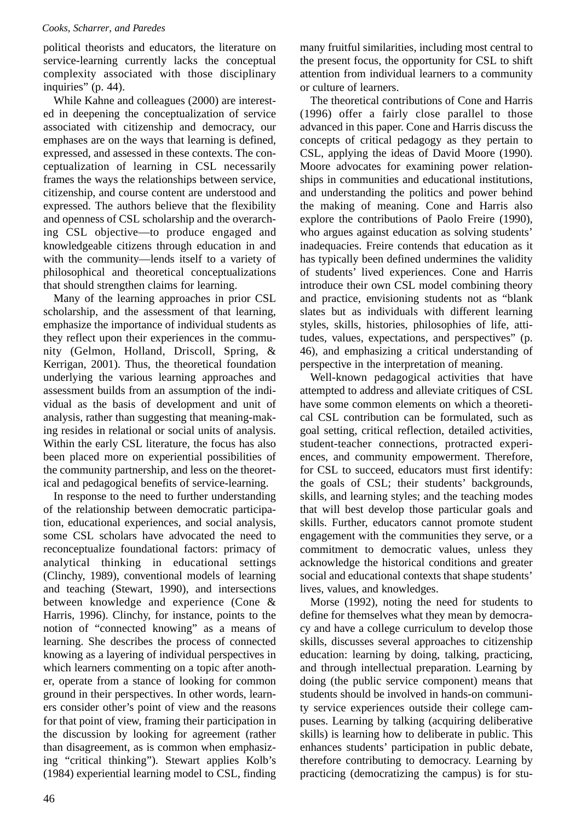political theorists and educators, the literature on service-learning currently lacks the conceptual complexity associated with those disciplinary inquiries" (p. 44).

While Kahne and colleagues (2000) are interested in deepening the conceptualization of service associated with citizenship and democracy, our emphases are on the ways that learning is defined, expressed, and assessed in these contexts. The conceptualization of learning in CSL necessarily frames the ways the relationships between service, citizenship, and course content are understood and expressed. The authors believe that the flexibility and openness of CSL scholarship and the overarching CSL objective—to produce engaged and knowledgeable citizens through education in and with the community—lends itself to a variety of philosophical and theoretical conceptualizations that should strengthen claims for learning.

Many of the learning approaches in prior CSL scholarship, and the assessment of that learning, emphasize the importance of individual students as they reflect upon their experiences in the community (Gelmon, Holland, Driscoll, Spring, & Kerrigan, 2001). Thus, the theoretical foundation underlying the various learning approaches and assessment builds from an assumption of the individual as the basis of development and unit of analysis, rather than suggesting that meaning-making resides in relational or social units of analysis. Within the early CSL literature, the focus has also been placed more on experiential possibilities of the community partnership, and less on the theoretical and pedagogical benefits of service-learning.

In response to the need to further understanding of the relationship between democratic participation, educational experiences, and social analysis, some CSL scholars have advocated the need to reconceptualize foundational factors: primacy of analytical thinking in educational settings (Clinchy, 1989), conventional models of learning and teaching (Stewart, 1990), and intersections between knowledge and experience (Cone & Harris, 1996). Clinchy, for instance, points to the notion of "connected knowing" as a means of learning. She describes the process of connected knowing as a layering of individual perspectives in which learners commenting on a topic after another, operate from a stance of looking for common ground in their perspectives. In other words, learners consider other's point of view and the reasons for that point of view, framing their participation in the discussion by looking for agreement (rather than disagreement, as is common when emphasizing "critical thinking"). Stewart applies Kolb's (1984) experiential learning model to CSL, finding many fruitful similarities, including most central to the present focus, the opportunity for CSL to shift attention from individual learners to a community or culture of learners.

The theoretical contributions of Cone and Harris (1996) offer a fairly close parallel to those advanced in this paper. Cone and Harris discuss the concepts of critical pedagogy as they pertain to CSL, applying the ideas of David Moore (1990). Moore advocates for examining power relationships in communities and educational institutions, and understanding the politics and power behind the making of meaning. Cone and Harris also explore the contributions of Paolo Freire (1990), who argues against education as solving students' inadequacies. Freire contends that education as it has typically been defined undermines the validity of students' lived experiences. Cone and Harris introduce their own CSL model combining theory and practice, envisioning students not as "blank slates but as individuals with different learning styles, skills, histories, philosophies of life, attitudes, values, expectations, and perspectives" (p. 46), and emphasizing a critical understanding of perspective in the interpretation of meaning.

Well-known pedagogical activities that have attempted to address and alleviate critiques of CSL have some common elements on which a theoretical CSL contribution can be formulated, such as goal setting, critical reflection, detailed activities, student-teacher connections, protracted experiences, and community empowerment. Therefore, for CSL to succeed, educators must first identify: the goals of CSL; their students' backgrounds, skills, and learning styles; and the teaching modes that will best develop those particular goals and skills. Further, educators cannot promote student engagement with the communities they serve, or a commitment to democratic values, unless they acknowledge the historical conditions and greater social and educational contexts that shape students' lives, values, and knowledges.

Morse (1992), noting the need for students to define for themselves what they mean by democracy and have a college curriculum to develop those skills, discusses several approaches to citizenship education: learning by doing, talking, practicing, and through intellectual preparation. Learning by doing (the public service component) means that students should be involved in hands-on community service experiences outside their college campuses. Learning by talking (acquiring deliberative skills) is learning how to deliberate in public. This enhances students' participation in public debate, therefore contributing to democracy. Learning by practicing (democratizing the campus) is for stu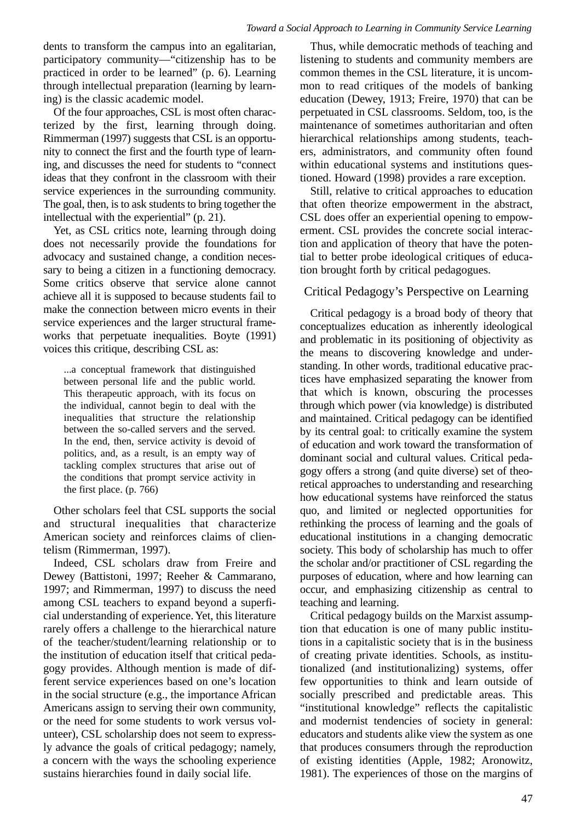dents to transform the campus into an egalitarian, participatory community—"citizenship has to be practiced in order to be learned" (p. 6). Learning through intellectual preparation (learning by learning) is the classic academic model.

Of the four approaches, CSL is most often characterized by the first, learning through doing. Rimmerman (1997) suggests that CSL is an opportunity to connect the first and the fourth type of learning, and discusses the need for students to "connect ideas that they confront in the classroom with their service experiences in the surrounding community. The goal, then, is to ask students to bring together the intellectual with the experiential" (p. 21).

Yet, as CSL critics note, learning through doing does not necessarily provide the foundations for advocacy and sustained change, a condition necessary to being a citizen in a functioning democracy. Some critics observe that service alone cannot achieve all it is supposed to because students fail to make the connection between micro events in their service experiences and the larger structural frameworks that perpetuate inequalities. Boyte (1991) voices this critique, describing CSL as:

...a conceptual framework that distinguished between personal life and the public world. This therapeutic approach, with its focus on the individual, cannot begin to deal with the inequalities that structure the relationship between the so-called servers and the served. In the end, then, service activity is devoid of politics, and, as a result, is an empty way of tackling complex structures that arise out of the conditions that prompt service activity in the first place. (p. 766)

Other scholars feel that CSL supports the social and structural inequalities that characterize American society and reinforces claims of clientelism (Rimmerman, 1997).

Indeed, CSL scholars draw from Freire and Dewey (Battistoni, 1997; Reeher & Cammarano, 1997; and Rimmerman, 1997) to discuss the need among CSL teachers to expand beyond a superficial understanding of experience. Yet, this literature rarely offers a challenge to the hierarchical nature of the teacher/student/learning relationship or to the institution of education itself that critical pedagogy provides. Although mention is made of different service experiences based on one's location in the social structure (e.g., the importance African Americans assign to serving their own community, or the need for some students to work versus volunteer), CSL scholarship does not seem to expressly advance the goals of critical pedagogy; namely, a concern with the ways the schooling experience sustains hierarchies found in daily social life.

Thus, while democratic methods of teaching and listening to students and community members are common themes in the CSL literature, it is uncommon to read critiques of the models of banking education (Dewey, 1913; Freire, 1970) that can be perpetuated in CSL classrooms. Seldom, too, is the maintenance of sometimes authoritarian and often hierarchical relationships among students, teachers, administrators, and community often found within educational systems and institutions questioned. Howard (1998) provides a rare exception.

Still, relative to critical approaches to education that often theorize empowerment in the abstract, CSL does offer an experiential opening to empowerment. CSL provides the concrete social interaction and application of theory that have the potential to better probe ideological critiques of education brought forth by critical pedagogues.

### Critical Pedagogy's Perspective on Learning

Critical pedagogy is a broad body of theory that conceptualizes education as inherently ideological and problematic in its positioning of objectivity as the means to discovering knowledge and understanding. In other words, traditional educative practices have emphasized separating the knower from that which is known, obscuring the processes through which power (via knowledge) is distributed and maintained. Critical pedagogy can be identified by its central goal: to critically examine the system of education and work toward the transformation of dominant social and cultural values. Critical pedagogy offers a strong (and quite diverse) set of theoretical approaches to understanding and researching how educational systems have reinforced the status quo, and limited or neglected opportunities for rethinking the process of learning and the goals of educational institutions in a changing democratic society. This body of scholarship has much to offer the scholar and/or practitioner of CSL regarding the purposes of education, where and how learning can occur, and emphasizing citizenship as central to teaching and learning.

Critical pedagogy builds on the Marxist assumption that education is one of many public institutions in a capitalistic society that is in the business of creating private identities. Schools, as institutionalized (and institutionalizing) systems, offer few opportunities to think and learn outside of socially prescribed and predictable areas. This "institutional knowledge" reflects the capitalistic and modernist tendencies of society in general: educators and students alike view the system as one that produces consumers through the reproduction of existing identities (Apple, 1982; Aronowitz, 1981). The experiences of those on the margins of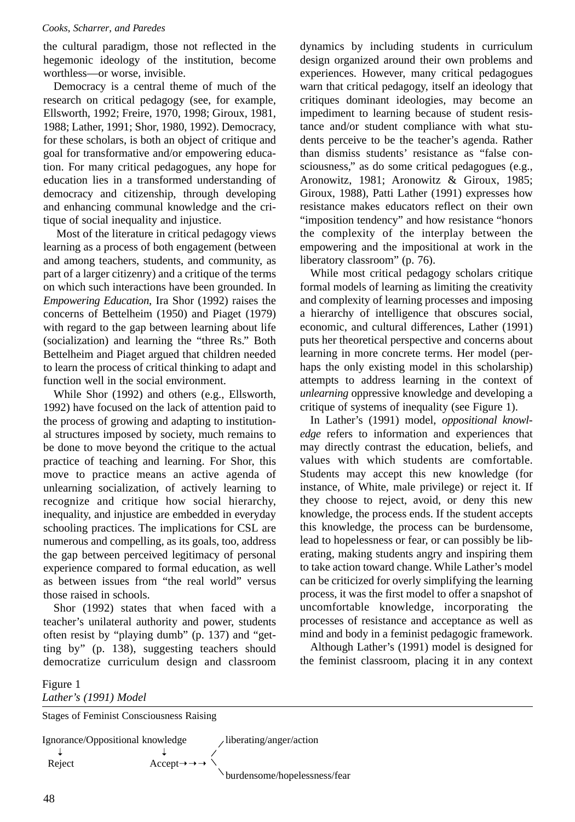the cultural paradigm, those not reflected in the hegemonic ideology of the institution, become worthless—or worse, invisible.

Democracy is a central theme of much of the research on critical pedagogy (see, for example, Ellsworth, 1992; Freire, 1970, 1998; Giroux, 1981, 1988; Lather, 1991; Shor, 1980, 1992). Democracy, for these scholars, is both an object of critique and goal for transformative and/or empowering education. For many critical pedagogues, any hope for education lies in a transformed understanding of democracy and citizenship, through developing and enhancing communal knowledge and the critique of social inequality and injustice.

Most of the literature in critical pedagogy views learning as a process of both engagement (between and among teachers, students, and community, as part of a larger citizenry) and a critique of the terms on which such interactions have been grounded. In *Empowering Education*, Ira Shor (1992) raises the concerns of Bettelheim (1950) and Piaget (1979) with regard to the gap between learning about life (socialization) and learning the "three Rs." Both Bettelheim and Piaget argued that children needed to learn the process of critical thinking to adapt and function well in the social environment.

While Shor (1992) and others (e.g., Ellsworth, 1992) have focused on the lack of attention paid to the process of growing and adapting to institutional structures imposed by society, much remains to be done to move beyond the critique to the actual practice of teaching and learning. For Shor, this move to practice means an active agenda of unlearning socialization, of actively learning to recognize and critique how social hierarchy, inequality, and injustice are embedded in everyday schooling practices. The implications for CSL are numerous and compelling, as its goals, too, address the gap between perceived legitimacy of personal experience compared to formal education, as well as between issues from "the real world" versus those raised in schools.

Shor (1992) states that when faced with a teacher's unilateral authority and power, students often resist by "playing dumb" (p. 137) and "getting by" (p. 138), suggesting teachers should democratize curriculum design and classroom

dynamics by including students in curriculum design organized around their own problems and experiences. However, many critical pedagogues warn that critical pedagogy, itself an ideology that critiques dominant ideologies, may become an impediment to learning because of student resistance and/or student compliance with what students perceive to be the teacher's agenda. Rather than dismiss students' resistance as "false consciousness," as do some critical pedagogues (e.g., Aronowitz, 1981; Aronowitz & Giroux, 1985; Giroux, 1988), Patti Lather (1991) expresses how resistance makes educators reflect on their own "imposition tendency" and how resistance "honors the complexity of the interplay between the empowering and the impositional at work in the liberatory classroom" (p. 76).

While most critical pedagogy scholars critique formal models of learning as limiting the creativity and complexity of learning processes and imposing a hierarchy of intelligence that obscures social, economic, and cultural differences, Lather (1991) puts her theoretical perspective and concerns about learning in more concrete terms. Her model (perhaps the only existing model in this scholarship) attempts to address learning in the context of *unlearning* oppressive knowledge and developing a critique of systems of inequality (see Figure 1).

In Lather's (1991) model, *oppositional knowledge* refers to information and experiences that may directly contrast the education, beliefs, and values with which students are comfortable. Students may accept this new knowledge (for instance, of White, male privilege) or reject it. If they choose to reject, avoid, or deny this new knowledge, the process ends. If the student accepts this knowledge, the process can be burdensome, lead to hopelessness or fear, or can possibly be liberating, making students angry and inspiring them to take action toward change. While Lather's model can be criticized for overly simplifying the learning process, it was the first model to offer a snapshot of uncomfortable knowledge, incorporating the processes of resistance and acceptance as well as mind and body in a feminist pedagogic framework.

Although Lather's (1991) model is designed for the feminist classroom, placing it in any context

Figure 1 *Lather's (1991) Model*

Stages of Feminist Consciousness Raising

Ignorance/Oppositional knowledge /iberating/anger/action Reject Accept➝➝➝ burdensome/hopelessness/fear ➝ ➝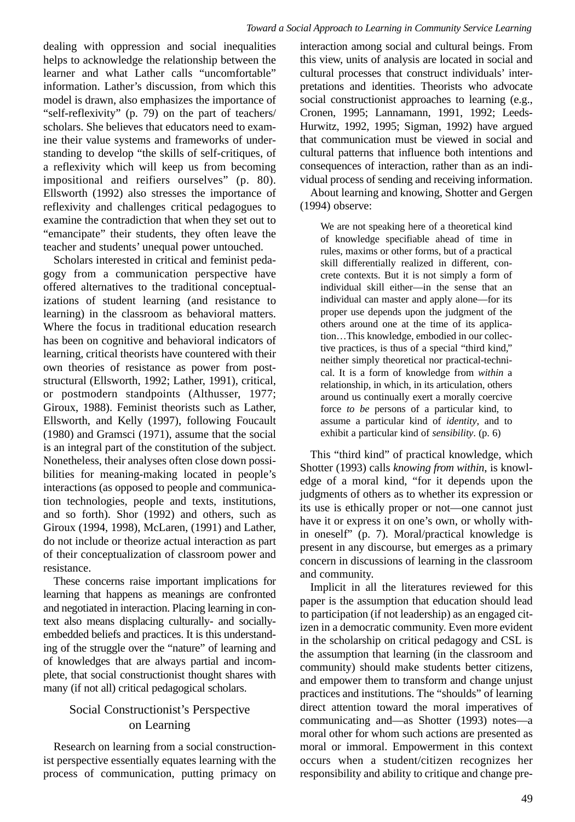dealing with oppression and social inequalities helps to acknowledge the relationship between the learner and what Lather calls "uncomfortable" information. Lather's discussion, from which this model is drawn, also emphasizes the importance of "self-reflexivity" (p. 79) on the part of teachers/ scholars. She believes that educators need to examine their value systems and frameworks of understanding to develop "the skills of self-critiques, of a reflexivity which will keep us from becoming impositional and reifiers ourselves" (p. 80). Ellsworth (1992) also stresses the importance of reflexivity and challenges critical pedagogues to examine the contradiction that when they set out to "emancipate" their students, they often leave the teacher and students' unequal power untouched.

Scholars interested in critical and feminist pedagogy from a communication perspective have offered alternatives to the traditional conceptualizations of student learning (and resistance to learning) in the classroom as behavioral matters. Where the focus in traditional education research has been on cognitive and behavioral indicators of learning, critical theorists have countered with their own theories of resistance as power from poststructural (Ellsworth, 1992; Lather, 1991), critical, or postmodern standpoints (Althusser, 1977; Giroux, 1988). Feminist theorists such as Lather, Ellsworth, and Kelly (1997), following Foucault (1980) and Gramsci (1971), assume that the social is an integral part of the constitution of the subject. Nonetheless, their analyses often close down possibilities for meaning-making located in people's interactions (as opposed to people and communication technologies, people and texts, institutions, and so forth). Shor (1992) and others, such as Giroux (1994, 1998), McLaren, (1991) and Lather, do not include or theorize actual interaction as part of their conceptualization of classroom power and resistance.

These concerns raise important implications for learning that happens as meanings are confronted and negotiated in interaction. Placing learning in context also means displacing culturally- and sociallyembedded beliefs and practices. It is this understanding of the struggle over the "nature" of learning and of knowledges that are always partial and incomplete, that social constructionist thought shares with many (if not all) critical pedagogical scholars.

# Social Constructionist's Perspective on Learning

Research on learning from a social constructionist perspective essentially equates learning with the process of communication, putting primacy on

interaction among social and cultural beings. From this view, units of analysis are located in social and cultural processes that construct individuals' interpretations and identities. Theorists who advocate social constructionist approaches to learning (e.g., Cronen, 1995; Lannamann, 1991, 1992; Leeds-Hurwitz, 1992, 1995; Sigman, 1992) have argued that communication must be viewed in social and cultural patterns that influence both intentions and consequences of interaction, rather than as an individual process of sending and receiving information.

About learning and knowing, Shotter and Gergen (1994) observe:

We are not speaking here of a theoretical kind of knowledge specifiable ahead of time in rules, maxims or other forms, but of a practical skill differentially realized in different, concrete contexts. But it is not simply a form of individual skill either—in the sense that an individual can master and apply alone—for its proper use depends upon the judgment of the others around one at the time of its application…This knowledge, embodied in our collective practices, is thus of a special "third kind," neither simply theoretical nor practical-technical. It is a form of knowledge from *within* a relationship, in which, in its articulation, others around us continually exert a morally coercive force *to be* persons of a particular kind, to assume a particular kind of *identity*, and to exhibit a particular kind of *sensibility*. (p. 6)

This "third kind" of practical knowledge, which Shotter (1993) calls *knowing from within*, is knowledge of a moral kind, "for it depends upon the judgments of others as to whether its expression or its use is ethically proper or not—one cannot just have it or express it on one's own, or wholly within oneself" (p. 7). Moral/practical knowledge is present in any discourse, but emerges as a primary concern in discussions of learning in the classroom and community.

Implicit in all the literatures reviewed for this paper is the assumption that education should lead to participation (if not leadership) as an engaged citizen in a democratic community. Even more evident in the scholarship on critical pedagogy and CSL is the assumption that learning (in the classroom and community) should make students better citizens, and empower them to transform and change unjust practices and institutions. The "shoulds" of learning direct attention toward the moral imperatives of communicating and—as Shotter (1993) notes—a moral other for whom such actions are presented as moral or immoral. Empowerment in this context occurs when a student/citizen recognizes her responsibility and ability to critique and change pre-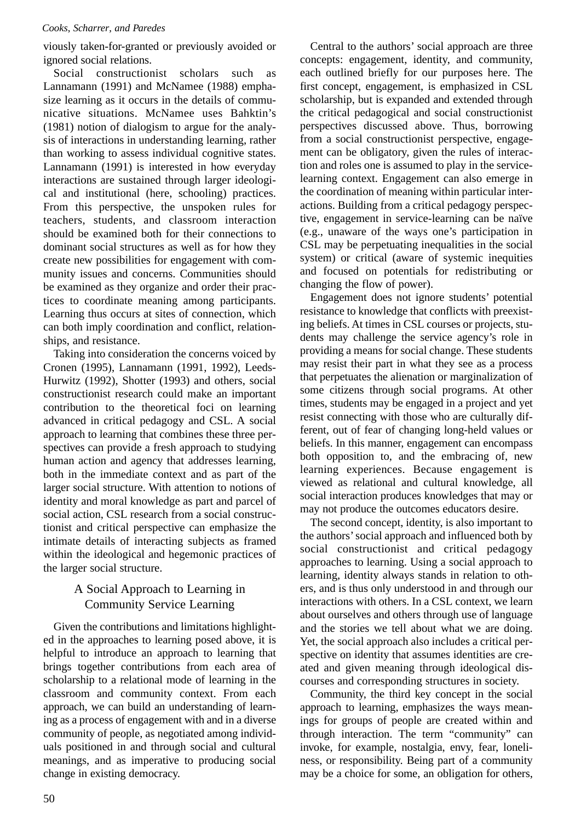viously taken-for-granted or previously avoided or ignored social relations.

Social constructionist scholars such as Lannamann (1991) and McNamee (1988) emphasize learning as it occurs in the details of communicative situations. McNamee uses Bahktin's (1981) notion of dialogism to argue for the analysis of interactions in understanding learning, rather than working to assess individual cognitive states. Lannamann (1991) is interested in how everyday interactions are sustained through larger ideological and institutional (here, schooling) practices. From this perspective, the unspoken rules for teachers, students, and classroom interaction should be examined both for their connections to dominant social structures as well as for how they create new possibilities for engagement with community issues and concerns. Communities should be examined as they organize and order their practices to coordinate meaning among participants. Learning thus occurs at sites of connection, which can both imply coordination and conflict, relationships, and resistance.

Taking into consideration the concerns voiced by Cronen (1995), Lannamann (1991, 1992), Leeds-Hurwitz (1992), Shotter (1993) and others, social constructionist research could make an important contribution to the theoretical foci on learning advanced in critical pedagogy and CSL. A social approach to learning that combines these three perspectives can provide a fresh approach to studying human action and agency that addresses learning, both in the immediate context and as part of the larger social structure. With attention to notions of identity and moral knowledge as part and parcel of social action, CSL research from a social constructionist and critical perspective can emphasize the intimate details of interacting subjects as framed within the ideological and hegemonic practices of the larger social structure.

# A Social Approach to Learning in Community Service Learning

Given the contributions and limitations highlighted in the approaches to learning posed above, it is helpful to introduce an approach to learning that brings together contributions from each area of scholarship to a relational mode of learning in the classroom and community context. From each approach, we can build an understanding of learning as a process of engagement with and in a diverse community of people, as negotiated among individuals positioned in and through social and cultural meanings, and as imperative to producing social change in existing democracy.

Central to the authors' social approach are three concepts: engagement, identity, and community, each outlined briefly for our purposes here. The first concept, engagement, is emphasized in CSL scholarship, but is expanded and extended through the critical pedagogical and social constructionist perspectives discussed above. Thus, borrowing from a social constructionist perspective, engagement can be obligatory, given the rules of interaction and roles one is assumed to play in the servicelearning context. Engagement can also emerge in the coordination of meaning within particular interactions. Building from a critical pedagogy perspective, engagement in service-learning can be naïve (e.g., unaware of the ways one's participation in CSL may be perpetuating inequalities in the social system) or critical (aware of systemic inequities and focused on potentials for redistributing or changing the flow of power).

Engagement does not ignore students' potential resistance to knowledge that conflicts with preexisting beliefs. At times in CSL courses or projects, students may challenge the service agency's role in providing a means for social change. These students may resist their part in what they see as a process that perpetuates the alienation or marginalization of some citizens through social programs. At other times, students may be engaged in a project and yet resist connecting with those who are culturally different, out of fear of changing long-held values or beliefs. In this manner, engagement can encompass both opposition to, and the embracing of, new learning experiences. Because engagement is viewed as relational and cultural knowledge, all social interaction produces knowledges that may or may not produce the outcomes educators desire.

The second concept, identity, is also important to the authors' social approach and influenced both by social constructionist and critical pedagogy approaches to learning. Using a social approach to learning, identity always stands in relation to others, and is thus only understood in and through our interactions with others. In a CSL context, we learn about ourselves and others through use of language and the stories we tell about what we are doing. Yet, the social approach also includes a critical perspective on identity that assumes identities are created and given meaning through ideological discourses and corresponding structures in society.

Community, the third key concept in the social approach to learning, emphasizes the ways meanings for groups of people are created within and through interaction. The term "community" can invoke, for example, nostalgia, envy, fear, loneliness, or responsibility. Being part of a community may be a choice for some, an obligation for others,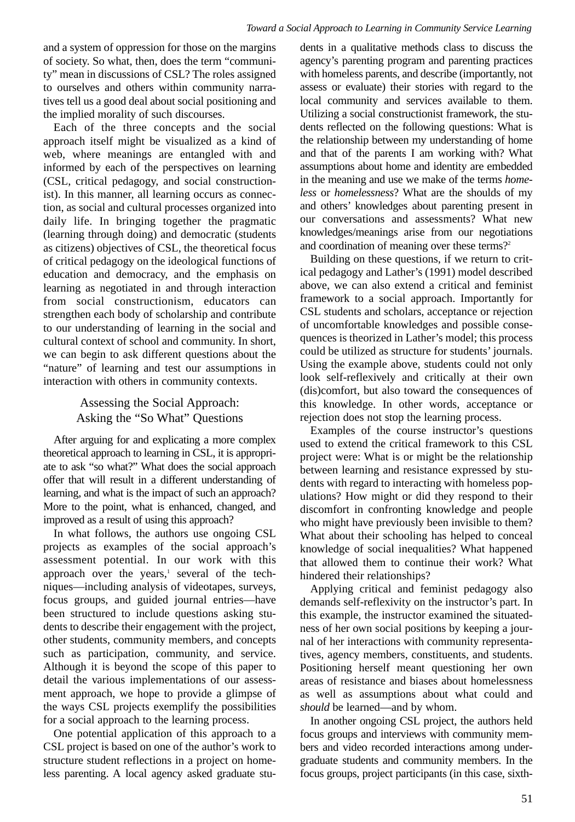and a system of oppression for those on the margins of society. So what, then, does the term "community" mean in discussions of CSL? The roles assigned to ourselves and others within community narratives tell us a good deal about social positioning and the implied morality of such discourses.

Each of the three concepts and the social approach itself might be visualized as a kind of web, where meanings are entangled with and informed by each of the perspectives on learning (CSL, critical pedagogy, and social constructionist). In this manner, all learning occurs as connection, as social and cultural processes organized into daily life. In bringing together the pragmatic (learning through doing) and democratic (students as citizens) objectives of CSL, the theoretical focus of critical pedagogy on the ideological functions of education and democracy, and the emphasis on learning as negotiated in and through interaction from social constructionism, educators can strengthen each body of scholarship and contribute to our understanding of learning in the social and cultural context of school and community. In short, we can begin to ask different questions about the "nature" of learning and test our assumptions in interaction with others in community contexts.

# Assessing the Social Approach: Asking the "So What" Questions

After arguing for and explicating a more complex theoretical approach to learning in CSL, it is appropriate to ask "so what?" What does the social approach offer that will result in a different understanding of learning, and what is the impact of such an approach? More to the point, what is enhanced, changed, and improved as a result of using this approach?

In what follows, the authors use ongoing CSL projects as examples of the social approach's assessment potential. In our work with this approach over the years, $\frac{1}{1}$  several of the techniques—including analysis of videotapes, surveys, focus groups, and guided journal entries—have been structured to include questions asking students to describe their engagement with the project, other students, community members, and concepts such as participation, community, and service. Although it is beyond the scope of this paper to detail the various implementations of our assessment approach, we hope to provide a glimpse of the ways CSL projects exemplify the possibilities for a social approach to the learning process.

One potential application of this approach to a CSL project is based on one of the author's work to structure student reflections in a project on homeless parenting. A local agency asked graduate stu-

dents in a qualitative methods class to discuss the agency's parenting program and parenting practices with homeless parents, and describe (importantly, not assess or evaluate) their stories with regard to the local community and services available to them. Utilizing a social constructionist framework, the students reflected on the following questions: What is the relationship between my understanding of home and that of the parents I am working with? What assumptions about home and identity are embedded in the meaning and use we make of the terms *homeless* or *homelessness*? What are the shoulds of my and others' knowledges about parenting present in our conversations and assessments? What new knowledges/meanings arise from our negotiations and coordination of meaning over these terms?<sup>2</sup>

Building on these questions, if we return to critical pedagogy and Lather's (1991) model described above, we can also extend a critical and feminist framework to a social approach. Importantly for CSL students and scholars, acceptance or rejection of uncomfortable knowledges and possible consequences is theorized in Lather's model; this process could be utilized as structure for students' journals. Using the example above, students could not only look self-reflexively and critically at their own (dis)comfort, but also toward the consequences of this knowledge. In other words, acceptance or rejection does not stop the learning process.

Examples of the course instructor's questions used to extend the critical framework to this CSL project were: What is or might be the relationship between learning and resistance expressed by students with regard to interacting with homeless populations? How might or did they respond to their discomfort in confronting knowledge and people who might have previously been invisible to them? What about their schooling has helped to conceal knowledge of social inequalities? What happened that allowed them to continue their work? What hindered their relationships?

Applying critical and feminist pedagogy also demands self-reflexivity on the instructor's part. In this example, the instructor examined the situatedness of her own social positions by keeping a journal of her interactions with community representatives, agency members, constituents, and students. Positioning herself meant questioning her own areas of resistance and biases about homelessness as well as assumptions about what could and *should* be learned—and by whom.

In another ongoing CSL project, the authors held focus groups and interviews with community members and video recorded interactions among undergraduate students and community members. In the focus groups, project participants (in this case, sixth-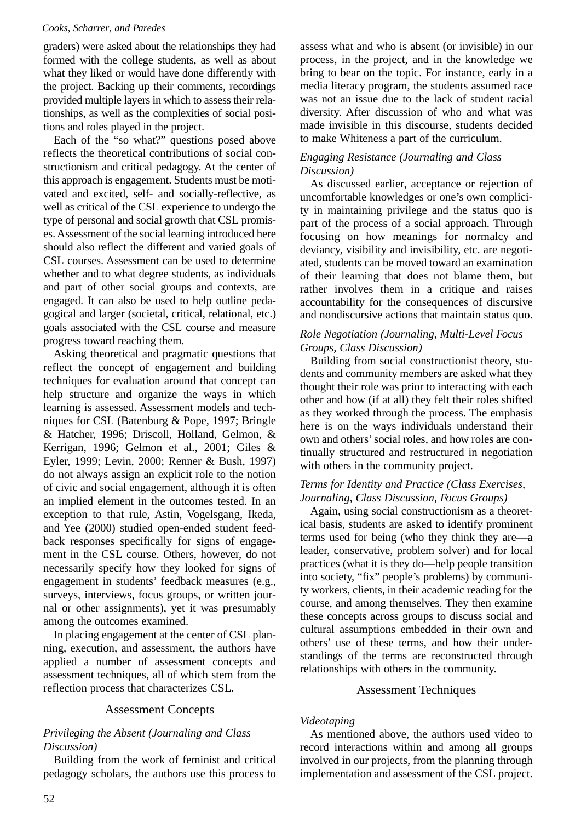graders) were asked about the relationships they had formed with the college students, as well as about what they liked or would have done differently with the project. Backing up their comments, recordings provided multiple layers in which to assess their relationships, as well as the complexities of social positions and roles played in the project.

Each of the "so what?" questions posed above reflects the theoretical contributions of social constructionism and critical pedagogy. At the center of this approach is engagement. Students must be motivated and excited, self- and socially-reflective, as well as critical of the CSL experience to undergo the type of personal and social growth that CSL promises. Assessment of the social learning introduced here should also reflect the different and varied goals of CSL courses. Assessment can be used to determine whether and to what degree students, as individuals and part of other social groups and contexts, are engaged. It can also be used to help outline pedagogical and larger (societal, critical, relational, etc.) goals associated with the CSL course and measure progress toward reaching them.

Asking theoretical and pragmatic questions that reflect the concept of engagement and building techniques for evaluation around that concept can help structure and organize the ways in which learning is assessed. Assessment models and techniques for CSL (Batenburg & Pope, 1997; Bringle & Hatcher, 1996; Driscoll, Holland, Gelmon, & Kerrigan, 1996; Gelmon et al., 2001; Giles & Eyler, 1999; Levin, 2000; Renner & Bush, 1997) do not always assign an explicit role to the notion of civic and social engagement, although it is often an implied element in the outcomes tested. In an exception to that rule, Astin, Vogelsgang, Ikeda, and Yee (2000) studied open-ended student feedback responses specifically for signs of engagement in the CSL course. Others, however, do not necessarily specify how they looked for signs of engagement in students' feedback measures (e.g., surveys, interviews, focus groups, or written journal or other assignments), yet it was presumably among the outcomes examined.

In placing engagement at the center of CSL planning, execution, and assessment, the authors have applied a number of assessment concepts and assessment techniques, all of which stem from the reflection process that characterizes CSL.

#### Assessment Concepts

### *Privileging the Absent (Journaling and Class Discussion)*

Building from the work of feminist and critical pedagogy scholars, the authors use this process to

52

assess what and who is absent (or invisible) in our process, in the project, and in the knowledge we bring to bear on the topic. For instance, early in a media literacy program, the students assumed race was not an issue due to the lack of student racial diversity. After discussion of who and what was made invisible in this discourse, students decided to make Whiteness a part of the curriculum.

### *Engaging Resistance (Journaling and Class Discussion)*

As discussed earlier, acceptance or rejection of uncomfortable knowledges or one's own complicity in maintaining privilege and the status quo is part of the process of a social approach. Through focusing on how meanings for normalcy and deviancy, visibility and invisibility, etc. are negotiated, students can be moved toward an examination of their learning that does not blame them, but rather involves them in a critique and raises accountability for the consequences of discursive and nondiscursive actions that maintain status quo.

# *Role Negotiation (Journaling, Multi-Level Focus Groups, Class Discussion)*

Building from social constructionist theory, students and community members are asked what they thought their role was prior to interacting with each other and how (if at all) they felt their roles shifted as they worked through the process. The emphasis here is on the ways individuals understand their own and others' social roles, and how roles are continually structured and restructured in negotiation with others in the community project.

# *Terms for Identity and Practice (Class Exercises, Journaling, Class Discussion, Focus Groups)*

Again, using social constructionism as a theoretical basis, students are asked to identify prominent terms used for being (who they think they are—a leader, conservative, problem solver) and for local practices (what it is they do—help people transition into society, "fix" people's problems) by community workers, clients, in their academic reading for the course, and among themselves. They then examine these concepts across groups to discuss social and cultural assumptions embedded in their own and others' use of these terms, and how their understandings of the terms are reconstructed through relationships with others in the community.

# Assessment Techniques

# *Videotaping*

As mentioned above, the authors used video to record interactions within and among all groups involved in our projects, from the planning through implementation and assessment of the CSL project.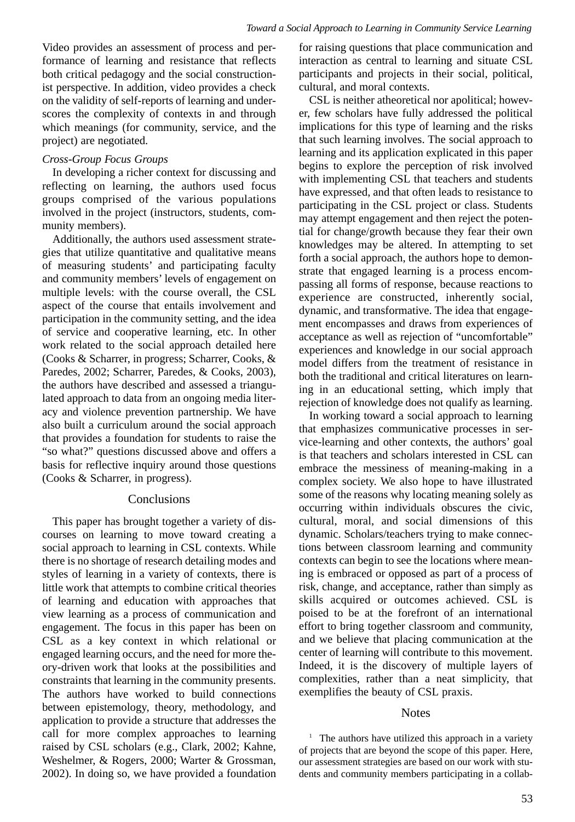Video provides an assessment of process and performance of learning and resistance that reflects both critical pedagogy and the social constructionist perspective. In addition, video provides a check on the validity of self-reports of learning and underscores the complexity of contexts in and through which meanings (for community, service, and the project) are negotiated.

### *Cross-Group Focus Groups*

In developing a richer context for discussing and reflecting on learning, the authors used focus groups comprised of the various populations involved in the project (instructors, students, community members).

Additionally, the authors used assessment strategies that utilize quantitative and qualitative means of measuring students' and participating faculty and community members' levels of engagement on multiple levels: with the course overall, the CSL aspect of the course that entails involvement and participation in the community setting, and the idea of service and cooperative learning, etc. In other work related to the social approach detailed here (Cooks & Scharrer, in progress; Scharrer, Cooks, & Paredes, 2002; Scharrer, Paredes, & Cooks, 2003), the authors have described and assessed a triangulated approach to data from an ongoing media literacy and violence prevention partnership. We have also built a curriculum around the social approach that provides a foundation for students to raise the "so what?" questions discussed above and offers a basis for reflective inquiry around those questions (Cooks & Scharrer, in progress).

### **Conclusions**

This paper has brought together a variety of discourses on learning to move toward creating a social approach to learning in CSL contexts. While there is no shortage of research detailing modes and styles of learning in a variety of contexts, there is little work that attempts to combine critical theories of learning and education with approaches that view learning as a process of communication and engagement. The focus in this paper has been on CSL as a key context in which relational or engaged learning occurs, and the need for more theory-driven work that looks at the possibilities and constraints that learning in the community presents. The authors have worked to build connections between epistemology, theory, methodology, and application to provide a structure that addresses the call for more complex approaches to learning raised by CSL scholars (e.g., Clark, 2002; Kahne, Weshelmer, & Rogers, 2000; Warter & Grossman, 2002). In doing so, we have provided a foundation for raising questions that place communication and interaction as central to learning and situate CSL participants and projects in their social, political, cultural, and moral contexts.

CSL is neither atheoretical nor apolitical; however, few scholars have fully addressed the political implications for this type of learning and the risks that such learning involves. The social approach to learning and its application explicated in this paper begins to explore the perception of risk involved with implementing CSL that teachers and students have expressed, and that often leads to resistance to participating in the CSL project or class. Students may attempt engagement and then reject the potential for change/growth because they fear their own knowledges may be altered. In attempting to set forth a social approach, the authors hope to demonstrate that engaged learning is a process encompassing all forms of response, because reactions to experience are constructed, inherently social, dynamic, and transformative. The idea that engagement encompasses and draws from experiences of acceptance as well as rejection of "uncomfortable" experiences and knowledge in our social approach model differs from the treatment of resistance in both the traditional and critical literatures on learning in an educational setting, which imply that rejection of knowledge does not qualify as learning.

In working toward a social approach to learning that emphasizes communicative processes in service-learning and other contexts, the authors' goal is that teachers and scholars interested in CSL can embrace the messiness of meaning-making in a complex society. We also hope to have illustrated some of the reasons why locating meaning solely as occurring within individuals obscures the civic, cultural, moral, and social dimensions of this dynamic. Scholars/teachers trying to make connections between classroom learning and community contexts can begin to see the locations where meaning is embraced or opposed as part of a process of risk, change, and acceptance, rather than simply as skills acquired or outcomes achieved. CSL is poised to be at the forefront of an international effort to bring together classroom and community, and we believe that placing communication at the center of learning will contribute to this movement. Indeed, it is the discovery of multiple layers of complexities, rather than a neat simplicity, that exemplifies the beauty of CSL praxis.

### Notes

<sup>1</sup> The authors have utilized this approach in a variety of projects that are beyond the scope of this paper. Here, our assessment strategies are based on our work with students and community members participating in a collab-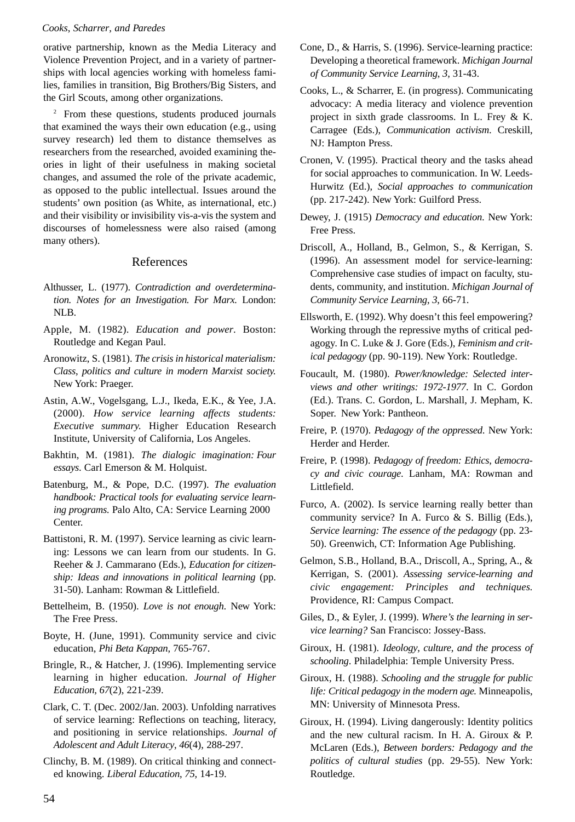orative partnership, known as the Media Literacy and Violence Prevention Project, and in a variety of partnerships with local agencies working with homeless families, families in transition, Big Brothers/Big Sisters, and the Girl Scouts, among other organizations.

<sup>2</sup> From these questions, students produced journals that examined the ways their own education (e.g., using survey research) led them to distance themselves as researchers from the researched, avoided examining theories in light of their usefulness in making societal changes, and assumed the role of the private academic, as opposed to the public intellectual. Issues around the students' own position (as White, as international, etc.) and their visibility or invisibility vis-a-vis the system and discourses of homelessness were also raised (among many others).

#### References

- Althusser, L. (1977). *Contradiction and overdetermination. Notes for an Investigation. For Marx.* London: NLB.
- Apple, M. (1982). *Education and power*. Boston: Routledge and Kegan Paul.
- Aronowitz, S. (1981). *The crisis in historical materialism: Class*, *politics and culture in modern Marxist society.* New York: Praeger.
- Astin, A.W., Vogelsgang, L.J., Ikeda, E.K., & Yee, J.A. (2000). *How service learning affects students: Executive summary.* Higher Education Research Institute, University of California, Los Angeles.
- Bakhtin, M. (1981). *The dialogic imagination: Four essays*. Carl Emerson & M. Holquist.
- Batenburg, M., & Pope, D.C. (1997). *The evaluation handbook: Practical tools for evaluating service learning programs.* Palo Alto, CA: Service Learning 2000 Center.
- Battistoni, R. M. (1997). Service learning as civic learning: Lessons we can learn from our students. In G. Reeher & J. Cammarano (Eds.), *Education for citizenship: Ideas and innovations in political learning* (pp. 31-50). Lanham: Rowman & Littlefield.
- Bettelheim, B. (1950). *Love is not enough*. New York: The Free Press.
- Boyte, H. (June, 1991). Community service and civic education, *Phi Beta Kappan*, 765-767.
- Bringle, R., & Hatcher, J. (1996). Implementing service learning in higher education. *Journal of Higher Education*, *67*(2), 221-239.
- Clark, C. T. (Dec. 2002/Jan. 2003). Unfolding narratives of service learning: Reflections on teaching, literacy, and positioning in service relationships. *Journal of Adolescent and Adult Literacy*, *46*(4), 288-297.
- Clinchy, B. M. (1989). On critical thinking and connected knowing. *Liberal Education*, *75*, 14-19.
- Cone, D., & Harris, S. (1996). Service-learning practice: Developing a theoretical framework. *Michigan Journal of Community Service Learning*, *3*, 31-43.
- Cooks, L., & Scharrer, E. (in progress). Communicating advocacy: A media literacy and violence prevention project in sixth grade classrooms. In L. Frey & K. Carragee (Eds.), *Communication activism*. Creskill, NJ: Hampton Press.
- Cronen, V. (1995). Practical theory and the tasks ahead for social approaches to communication. In W. Leeds-Hurwitz (Ed.), *Social approaches to communication* (pp. 217-242). New York: Guilford Press.
- Dewey, J. (1915) *Democracy and education*. New York: Free Press.
- Driscoll, A., Holland, B., Gelmon, S., & Kerrigan, S. (1996). An assessment model for service-learning: Comprehensive case studies of impact on faculty, students, community, and institution. *Michigan Journal of Community Service Learning*, *3*, 66-71.
- Ellsworth, E. (1992). Why doesn't this feel empowering? Working through the repressive myths of critical pedagogy. In C. Luke & J. Gore (Eds.), *Feminism and critical pedagogy* (pp. 90-119). New York: Routledge.
- Foucault, M. (1980). *Power/knowledge: Selected interviews and other writings: 1972-1977*. In C. Gordon (Ed.). Trans. C. Gordon, L. Marshall, J. Mepham, K. Soper. New York: Pantheon.
- Freire, P. (1970). *Pedagogy of the oppressed*. New York: Herder and Herder.
- Freire, P. (1998). *Pedagogy of freedom: Ethics*, *democracy and civic courage*. Lanham, MA: Rowman and Littlefield.
- Furco, A. (2002). Is service learning really better than community service? In A. Furco & S. Billig (Eds.), *Service learning: The essence of the pedagogy* (pp. 23- 50). Greenwich, CT: Information Age Publishing.
- Gelmon, S.B., Holland, B.A., Driscoll, A., Spring, A., & Kerrigan, S. (2001). *Assessing service-learning and civic engagement: Principles and techniques.* Providence, RI: Campus Compact.
- Giles, D., & Eyler, J. (1999). *Where's the learning in service learning?* San Francisco: Jossey-Bass.
- Giroux, H. (1981). *Ideology*, *culture*, *and the process of schooling*. Philadelphia: Temple University Press.
- Giroux, H. (1988). *Schooling and the struggle for public life: Critical pedagogy in the modern age.* Minneapolis, MN: University of Minnesota Press.
- Giroux, H. (1994). Living dangerously: Identity politics and the new cultural racism. In H. A. Giroux & P. McLaren (Eds.), *Between borders: Pedagogy and the politics of cultural studies* (pp. 29-55). New York: Routledge.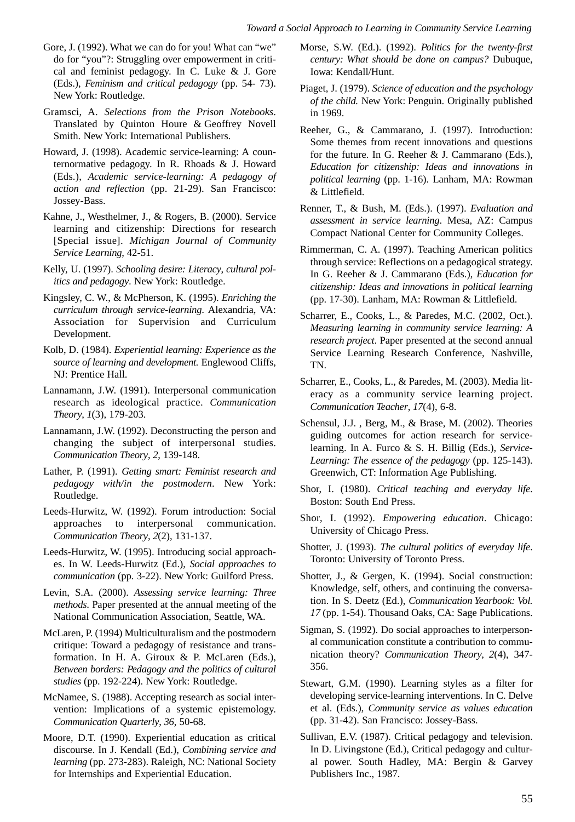- Gore, J. (1992). What we can do for you! What can "we" do for "you"?: Struggling over empowerment in critical and feminist pedagogy. In C. Luke & J. Gore (Eds.), *Feminism and critical pedagogy* (pp. 54- 73). New York: Routledge.
- Gramsci, A. *Selections from the Prison Notebooks*. Translated by Quinton Houre & Geoffrey Novell Smith. New York: International Publishers.
- Howard, J. (1998). Academic service-learning: A counternormative pedagogy. In R. Rhoads & J. Howard (Eds.), *Academic service-learning: A pedagogy of action and reflection* (pp. 21-29). San Francisco: Jossey-Bass.
- Kahne, J., Westhelmer, J., & Rogers, B. (2000). Service learning and citizenship: Directions for research [Special issue]. *Michigan Journal of Community Service Learning*, 42-51.
- Kelly, U. (1997). *Schooling desire: Literacy*, *cultural politics and pedagogy*. New York: Routledge.
- Kingsley, C. W., & McPherson, K. (1995). *Enriching the curriculum through service-learning*. Alexandria, VA: Association for Supervision and Curriculum Development.
- Kolb, D. (1984). *Experiential learning: Experience as the source of learning and development.* Englewood Cliffs, NJ: Prentice Hall.
- Lannamann, J.W. (1991). Interpersonal communication research as ideological practice. *Communication Theory*, *1*(3), 179-203.
- Lannamann, J.W. (1992). Deconstructing the person and changing the subject of interpersonal studies. *Communication Theory*, *2*, 139-148.
- Lather, P. (1991). *Getting smart: Feminist research and pedagogy with/in the postmodern*. New York: Routledge.
- Leeds-Hurwitz, W. (1992). Forum introduction: Social approaches to interpersonal communication. *Communication Theory*, *2*(2), 131-137.
- Leeds-Hurwitz, W. (1995). Introducing social approaches. In W. Leeds-Hurwitz (Ed.), *Social approaches to communication* (pp. 3-22). New York: Guilford Press.
- Levin, S.A. (2000). *Assessing service learning: Three methods*. Paper presented at the annual meeting of the National Communication Association, Seattle, WA.
- McLaren, P. (1994) Multiculturalism and the postmodern critique: Toward a pedagogy of resistance and transformation. In H. A. Giroux & P. McLaren (Eds.), *Between borders: Pedagogy and the politics of cultural studies* (pp. 192-224). New York: Routledge.
- McNamee, S. (1988). Accepting research as social intervention: Implications of a systemic epistemology. *Communication Quarterly*, *36*, 50-68.
- Moore, D.T. (1990). Experiential education as critical discourse. In J. Kendall (Ed.), *Combining service and learning* (pp. 273-283). Raleigh, NC: National Society for Internships and Experiential Education.
- Morse, S.W. (Ed.). (1992). *Politics for the twenty-first century: What should be done on campus?* Dubuque, Iowa: Kendall/Hunt.
- Piaget, J. (1979). *Science of education and the psychology of the child.* New York: Penguin. Originally published in 1969.
- Reeher, G., & Cammarano, J. (1997). Introduction: Some themes from recent innovations and questions for the future. In G. Reeher & J. Cammarano (Eds.), *Education for citizenship: Ideas and innovations in political learning* (pp. 1-16). Lanham, MA: Rowman & Littlefield.
- Renner, T., & Bush, M. (Eds.). (1997). *Evaluation and assessment in service learning*. Mesa, AZ: Campus Compact National Center for Community Colleges.
- Rimmerman, C. A. (1997). Teaching American politics through service: Reflections on a pedagogical strategy. In G. Reeher & J. Cammarano (Eds.), *Education for citizenship: Ideas and innovations in political learning* (pp. 17-30). Lanham, MA: Rowman & Littlefield.
- Scharrer, E., Cooks, L., & Paredes, M.C. (2002, Oct.). *Measuring learning in community service learning: A research project*. Paper presented at the second annual Service Learning Research Conference, Nashville, TN.
- Scharrer, E., Cooks, L., & Paredes, M. (2003). Media literacy as a community service learning project. *Communication Teacher*, *17*(4), 6-8.
- Schensul, J.J. , Berg, M., & Brase, M. (2002). Theories guiding outcomes for action research for servicelearning. In A. Furco & S. H. Billig (Eds.), *Service-Learning: The essence of the pedagogy* (pp. 125-143). Greenwich, CT: Information Age Publishing.
- Shor, I. (1980). *Critical teaching and everyday life*. Boston: South End Press.
- Shor, I. (1992). *Empowering education*. Chicago: University of Chicago Press.
- Shotter, J. (1993). *The cultural politics of everyday life*. Toronto: University of Toronto Press.
- Shotter, J., & Gergen, K. (1994). Social construction: Knowledge, self, others, and continuing the conversation. In S. Deetz (Ed.), *Communication Yearbook: Vol. 17* (pp. 1-54). Thousand Oaks, CA: Sage Publications.
- Sigman, S. (1992). Do social approaches to interpersonal communication constitute a contribution to communication theory? *Communication Theory*, *2*(4), 347- 356.
- Stewart, G.M. (1990). Learning styles as a filter for developing service-learning interventions. In C. Delve et al. (Eds.), *Community service as values education* (pp. 31-42). San Francisco: Jossey-Bass.
- Sullivan, E.V. (1987). Critical pedagogy and television. In D. Livingstone (Ed.), Critical pedagogy and cultural power. South Hadley, MA: Bergin & Garvey Publishers Inc., 1987.